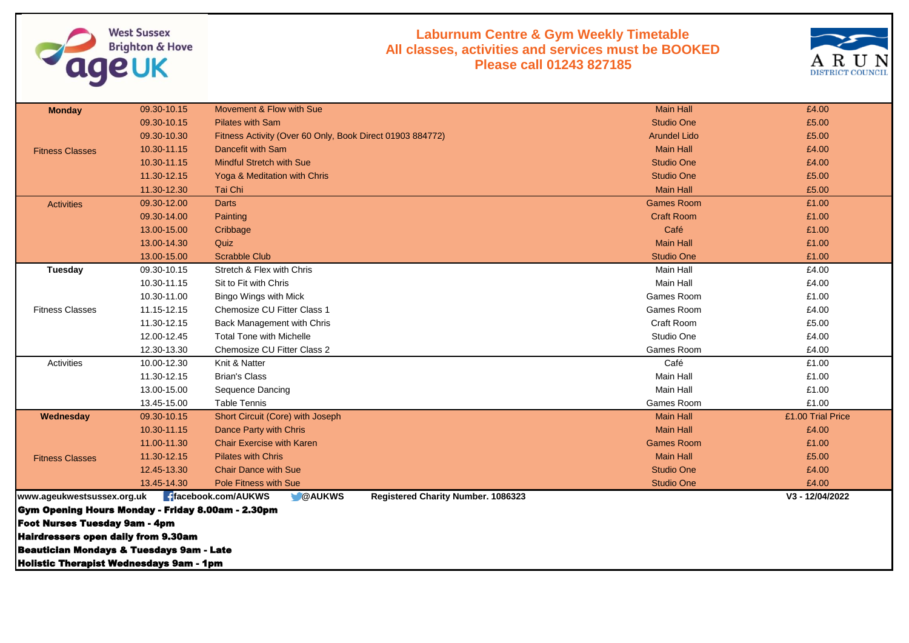

## **Laburnum Centre & Gym Weekly Timetable All classes, activities and services must be BOOKED Please call 01243 827185**



| <b>Monday</b>                                     | 09.30-10.15 | Movement & Flow with Sue                                                           | <b>Main Hall</b>    | £4.00             |
|---------------------------------------------------|-------------|------------------------------------------------------------------------------------|---------------------|-------------------|
|                                                   | 09.30-10.15 | <b>Pilates with Sam</b>                                                            | <b>Studio One</b>   | £5.00             |
|                                                   | 09.30-10.30 | Fitness Activity (Over 60 Only, Book Direct 01903 884772)                          | <b>Arundel Lido</b> | £5.00             |
| <b>Fitness Classes</b>                            | 10.30-11.15 | Dancefit with Sam                                                                  | <b>Main Hall</b>    | £4.00             |
|                                                   | 10.30-11.15 | <b>Mindful Stretch with Sue</b>                                                    | <b>Studio One</b>   | £4.00             |
|                                                   | 11.30-12.15 | Yoga & Meditation with Chris                                                       | <b>Studio One</b>   | £5.00             |
|                                                   | 11.30-12.30 | Tai Chi                                                                            | <b>Main Hall</b>    | £5.00             |
| <b>Activities</b>                                 | 09.30-12.00 | <b>Darts</b>                                                                       | <b>Games Room</b>   | £1.00             |
|                                                   | 09.30-14.00 | Painting                                                                           | <b>Craft Room</b>   | £1.00             |
|                                                   | 13.00-15.00 | Cribbage                                                                           | Café                | £1.00             |
|                                                   | 13.00-14.30 | Quiz                                                                               | <b>Main Hall</b>    | £1.00             |
|                                                   | 13.00-15.00 | <b>Scrabble Club</b>                                                               | <b>Studio One</b>   | £1.00             |
| Tuesday                                           | 09.30-10.15 | Stretch & Flex with Chris                                                          | Main Hall           | £4.00             |
|                                                   | 10.30-11.15 | Sit to Fit with Chris                                                              | Main Hall           | £4.00             |
|                                                   | 10.30-11.00 | Bingo Wings with Mick                                                              | Games Room          | £1.00             |
| <b>Fitness Classes</b>                            | 11.15-12.15 | Chemosize CU Fitter Class 1                                                        | Games Room          | £4.00             |
|                                                   | 11.30-12.15 | Back Management with Chris                                                         | Craft Room          | £5.00             |
|                                                   | 12.00-12.45 | <b>Total Tone with Michelle</b>                                                    | Studio One          | £4.00             |
|                                                   | 12.30-13.30 | Chemosize CU Fitter Class 2                                                        | Games Room          | £4.00             |
| Activities                                        | 10.00-12.30 | Knit & Natter                                                                      | Café                | £1.00             |
|                                                   | 11.30-12.15 | <b>Brian's Class</b>                                                               | Main Hall           | £1.00             |
|                                                   | 13.00-15.00 | Sequence Dancing                                                                   | Main Hall           | £1.00             |
|                                                   | 13.45-15.00 | <b>Table Tennis</b>                                                                | Games Room          | £1.00             |
| Wednesday                                         | 09.30-10.15 | Short Circuit (Core) with Joseph                                                   | <b>Main Hall</b>    | £1.00 Trial Price |
|                                                   | 10.30-11.15 | Dance Party with Chris                                                             | <b>Main Hall</b>    | £4.00             |
|                                                   | 11.00-11.30 | <b>Chair Exercise with Karen</b>                                                   | <b>Games Room</b>   | £1.00             |
| <b>Fitness Classes</b>                            | 11.30-12.15 | <b>Pilates with Chris</b>                                                          | <b>Main Hall</b>    | £5.00             |
|                                                   | 12.45-13.30 | <b>Chair Dance with Sue</b>                                                        | <b>Studio One</b>   | £4.00             |
|                                                   | 13.45-14.30 | Pole Fitness with Sue                                                              | <b>Studio One</b>   | £4.00             |
| www.ageukwestsussex.org.uk                        |             | <b>f</b> facebook.com/AUKWS<br><b>OAUKWS</b><br>Registered Charity Number. 1086323 |                     | V3 - 12/04/2022   |
| Gym Opening Hours Monday - Friday 8.00am - 2.30pm |             |                                                                                    |                     |                   |
| <b>Foot Nurses Tuesday 9am - 4pm</b>              |             |                                                                                    |                     |                   |
| <b>Hairdressers open daily from 9.30am</b>        |             |                                                                                    |                     |                   |
| Beautician Mondays & Tuesdays 9am - Late          |             |                                                                                    |                     |                   |
| <b>Holistic Therapist Wednesdays 9am - 1pm</b>    |             |                                                                                    |                     |                   |